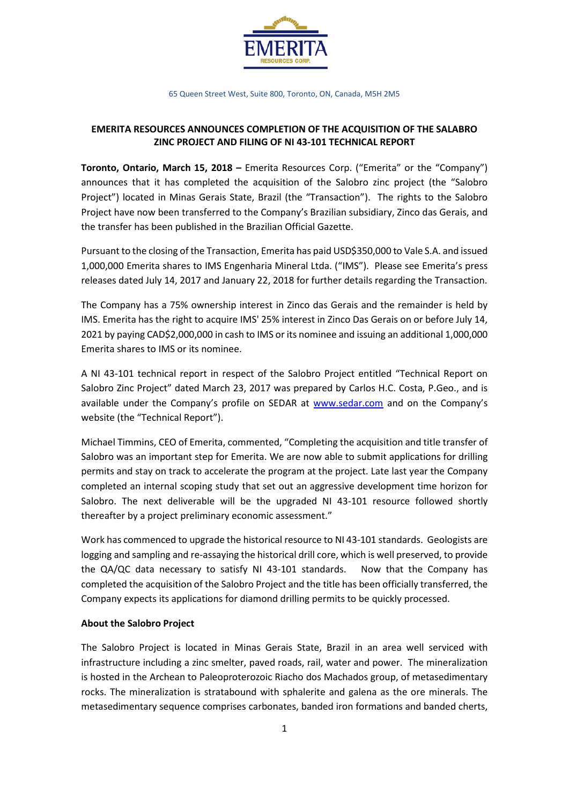

65 Queen Street West, Suite 800, Toronto, ON, Canada, M5H 2M5

## **EMERITA RESOURCES ANNOUNCES COMPLETION OF THE ACQUISITION OF THE SALABRO ZINC PROJECT AND FILING OF NI 43-101 TECHNICAL REPORT**

**Toronto, Ontario, March 15, 2018 –** Emerita Resources Corp. ("Emerita" or the "Company") announces that it has completed the acquisition of the Salobro zinc project (the "Salobro Project") located in Minas Gerais State, Brazil (the "Transaction"). The rights to the Salobro Project have now been transferred to the Company's Brazilian subsidiary, Zinco das Gerais, and the transfer has been published in the Brazilian Official Gazette.

Pursuant to the closing of the Transaction, Emerita has paid USD\$350,000 to Vale S.A. and issued 1,000,000 Emerita shares to IMS Engenharia Mineral Ltda. ("IMS"). Please see Emerita's press releases dated July 14, 2017 and January 22, 2018 for further details regarding the Transaction.

The Company has a 75% ownership interest in Zinco das Gerais and the remainder is held by IMS. Emerita has the right to acquire IMS' 25% interest in Zinco Das Gerais on or before July 14, 2021 by paying CAD\$2,000,000 in cash to IMS or its nominee and issuing an additional 1,000,000 Emerita shares to IMS or its nominee.

A NI 43-101 technical report in respect of the Salobro Project entitled "Technical Report on Salobro Zinc Project" dated March 23, 2017 was prepared by Carlos H.C. Costa, P.Geo., and is available under the Company's profile on SEDAR at [www.sedar.com](http://www.sedar.com/) and on the Company's website (the "Technical Report").

Michael Timmins, CEO of Emerita, commented, "Completing the acquisition and title transfer of Salobro was an important step for Emerita. We are now able to submit applications for drilling permits and stay on track to accelerate the program at the project. Late last year the Company completed an internal scoping study that set out an aggressive development time horizon for Salobro. The next deliverable will be the upgraded NI 43-101 resource followed shortly thereafter by a project preliminary economic assessment."

Work has commenced to upgrade the historical resource to NI 43-101 standards. Geologists are logging and sampling and re-assaying the historical drill core, which is well preserved, to provide the QA/QC data necessary to satisfy NI 43-101 standards. Now that the Company has completed the acquisition of the Salobro Project and the title has been officially transferred, the Company expects its applications for diamond drilling permits to be quickly processed.

# **About the Salobro Project**

The Salobro Project is located in Minas Gerais State, Brazil in an area well serviced with infrastructure including a zinc smelter, paved roads, rail, water and power. The mineralization is hosted in the Archean to Paleoproterozoic Riacho dos Machados group, of metasedimentary rocks. The mineralization is stratabound with sphalerite and galena as the ore minerals. The metasedimentary sequence comprises carbonates, banded iron formations and banded cherts,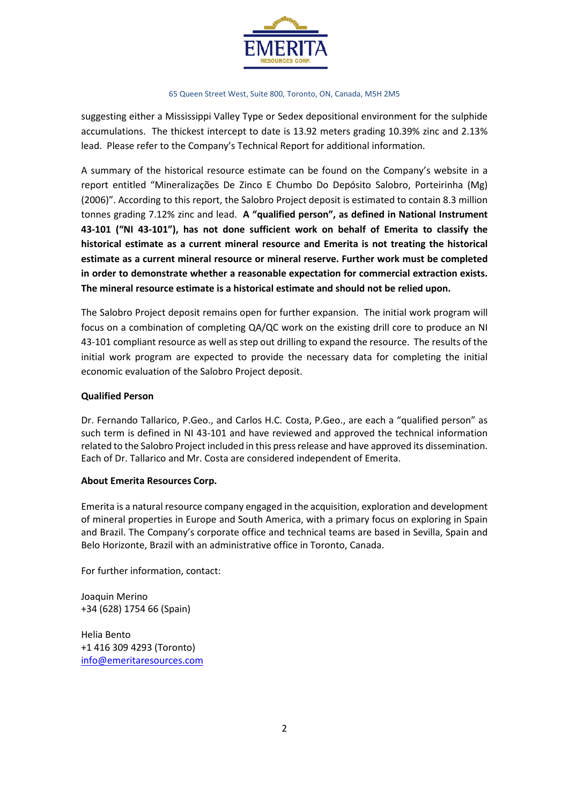

#### 65 Queen Street West, Suite 800, Toronto, ON, Canada, M5H 2M5

suggesting either a Mississippi Valley Type or Sedex depositional environment for the sulphide accumulations. The thickest intercept to date is 13.92 meters grading 10.39% zinc and 2.13% lead. Please refer to the Company's Technical Report for additional information.

A summary of the historical resource estimate can be found on the Company's website in a report entitled "Mineralizações De Zinco E Chumbo Do Depósito Salobro, Porteirinha (Mg) (2006)". According to this report, the Salobro Project deposit is estimated to contain 8.3 million tonnes grading 7.12% zinc and lead. **A "qualified person", as defined in National Instrument 43-101 ("NI 43-101"), has not done sufficient work on behalf of Emerita to classify the historical estimate as a current mineral resource and Emerita is not treating the historical estimate as a current mineral resource or mineral reserve. Further work must be completed in order to demonstrate whether a reasonable expectation for commercial extraction exists. The mineral resource estimate is a historical estimate and should not be relied upon.**

The Salobro Project deposit remains open for further expansion. The initial work program will focus on a combination of completing QA/QC work on the existing drill core to produce an NI 43-101 compliant resource as well as step out drilling to expand the resource. The results of the initial work program are expected to provide the necessary data for completing the initial economic evaluation of the Salobro Project deposit.

## **Qualified Person**

Dr. Fernando Tallarico, P.Geo., and Carlos H.C. Costa, P.Geo., are each a "qualified person" as such term is defined in NI 43-101 and have reviewed and approved the technical information related to the Salobro Project included in this press release and have approved its dissemination. Each of Dr. Tallarico and Mr. Costa are considered independent of Emerita.

### **About Emerita Resources Corp.**

Emerita is a natural resource company engaged in the acquisition, exploration and development of mineral properties in Europe and South America, with a primary focus on exploring in Spain and Brazil. The Company's corporate office and technical teams are based in Sevilla, Spain and Belo Horizonte, Brazil with an administrative office in Toronto, Canada.

For further information, contact:

Joaquin Merino +34 (628) 1754 66 (Spain)

Helia Bento +1 416 309 4293 (Toronto) [info@emeritaresources.com](mailto:info@emeritaresources.com)